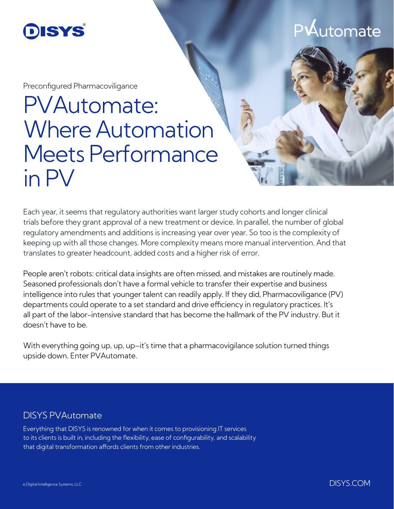

P $\mathsf{A}$ utomate

Preconfigured Pharmacoviligance

## PVAutomate: Where Automation Meets Performance in PV

Each year, it seems that regulatory authorities want larger study cohorts and longer clinical trials before they grant approval of a new treatment or device. In parallel, the number of global regulatory amendments and additions is increasing year over year. So too is the complexity of keeping up with all those changes. More complexity means more manual intervention. And that translates to greater headcount, added costs and a higher risk of error.

People aren't robots: critical data insights are often missed, and mistakes are routinely made. Seasoned professionals don't have a formal vehicle to transfer their expertise and business intelligence into rules that younger talent can readily apply. If they did, Pharmacoviligance (PV) departments could operate to a set standard and drive efficiency in regulatory practices. It's all part of the labor-intensive standard that has become the hallmark of the PV industry. But it doesn't have to be.

With everything going up, up, up–it's time that a pharmacovigilance solution turned things upside down. Enter PVAutomate.

## DISYS PVAutomate

Everything that DISYS is renowned for when it comes to provisioning IT services to its clients is built in, including the flexibility, ease of configurability, and scalability that digital transformation affords clients from other industries.